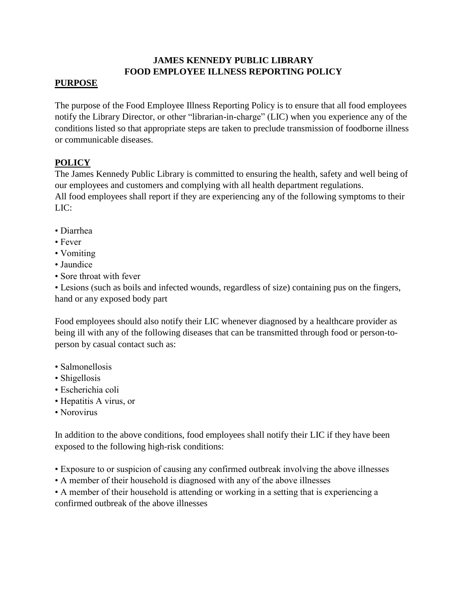# **JAMES KENNEDY PUBLIC LIBRARY FOOD EMPLOYEE ILLNESS REPORTING POLICY**

## **PURPOSE**

The purpose of the Food Employee Illness Reporting Policy is to ensure that all food employees notify the Library Director, or other "librarian-in-charge" (LIC) when you experience any of the conditions listed so that appropriate steps are taken to preclude transmission of foodborne illness or communicable diseases.

## **POLICY**

The James Kennedy Public Library is committed to ensuring the health, safety and well being of our employees and customers and complying with all health department regulations.

All food employees shall report if they are experiencing any of the following symptoms to their LIC:

- Diarrhea
- Fever
- Vomiting
- Jaundice
- Sore throat with fever

• Lesions (such as boils and infected wounds, regardless of size) containing pus on the fingers, hand or any exposed body part

Food employees should also notify their LIC whenever diagnosed by a healthcare provider as being ill with any of the following diseases that can be transmitted through food or person-toperson by casual contact such as:

- Salmonellosis
- Shigellosis
- Escherichia coli
- Hepatitis A virus, or
- Norovirus

In addition to the above conditions, food employees shall notify their LIC if they have been exposed to the following high-risk conditions:

- Exposure to or suspicion of causing any confirmed outbreak involving the above illnesses
- A member of their household is diagnosed with any of the above illnesses

• A member of their household is attending or working in a setting that is experiencing a confirmed outbreak of the above illnesses